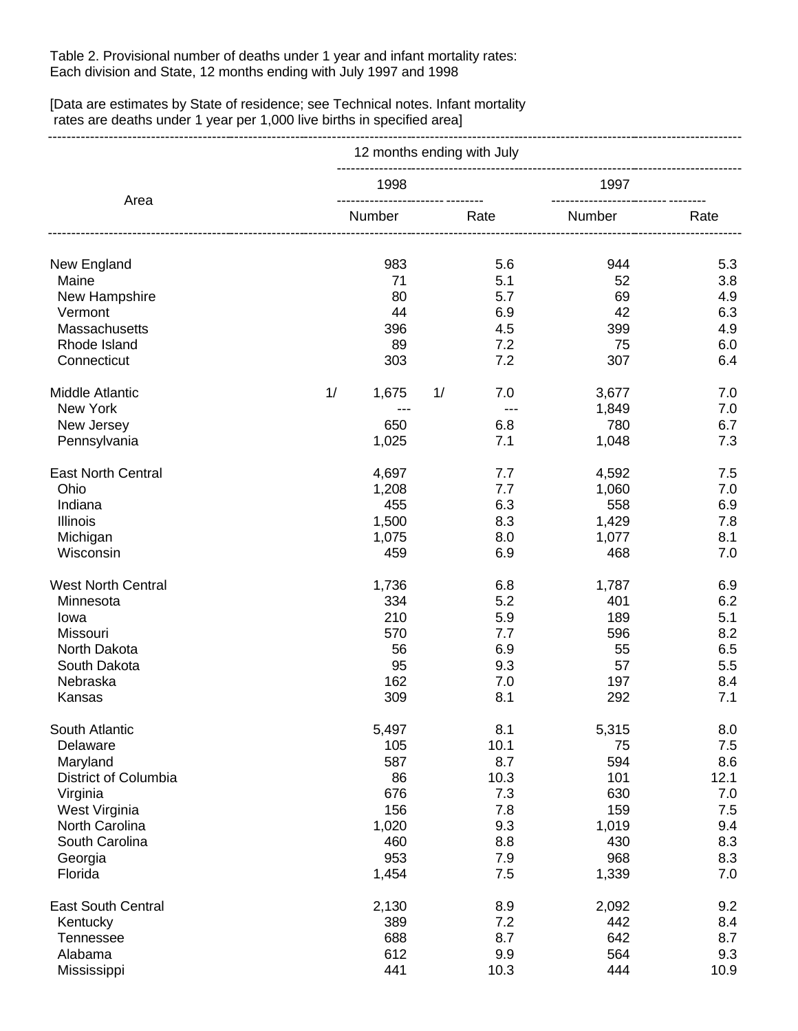Table 2. Provisional number of deaths under 1 year and infant mortality rates: Each division and State, 12 months ending with July 1997 and 1998

[Data are estimates by State of residence; see Technical notes. Infant mortality rates are deaths under 1 year per 1,000 live births in specified area]

-----------------------------------------------------------------------------------------------------------------------------------------------------

|                           | 12 months ending with July |    |                                                   |            |            |  |  |
|---------------------------|----------------------------|----|---------------------------------------------------|------------|------------|--|--|
| Area                      | 1998                       |    | 1997<br>------------ --------<br>---------------- |            |            |  |  |
|                           | Number                     |    | Rate                                              | Number     | Rate       |  |  |
| New England               | 983                        |    | 5.6                                               | 944        | 5.3        |  |  |
| Maine                     | 71                         |    | 5.1                                               | 52         | 3.8        |  |  |
| New Hampshire             | 80                         |    | 5.7                                               | 69         | 4.9        |  |  |
| Vermont                   | 44                         |    | 6.9                                               | 42         | 6.3        |  |  |
| Massachusetts             | 396                        |    | 4.5                                               | 399        | 4.9        |  |  |
| Rhode Island              | 89                         |    | 7.2                                               | 75         | 6.0        |  |  |
| Connecticut               | 303                        |    | 7.2                                               | 307        | 6.4        |  |  |
| <b>Middle Atlantic</b>    | 1/<br>1,675                | 1/ | 7.0                                               | 3,677      | 7.0        |  |  |
| New York                  | ---                        |    | $---$                                             | 1,849      | 7.0        |  |  |
| New Jersey                | 650                        |    | 6.8                                               | 780        | 6.7        |  |  |
| Pennsylvania              | 1,025                      |    | 7.1                                               | 1,048      | 7.3        |  |  |
| <b>East North Central</b> | 4,697                      |    | 7.7                                               | 4,592      | 7.5        |  |  |
| Ohio                      | 1,208                      |    | 7.7                                               | 1,060      | 7.0        |  |  |
| Indiana                   | 455                        |    | 6.3                                               | 558        | 6.9        |  |  |
| Illinois                  | 1,500                      |    | 8.3                                               | 1,429      | 7.8        |  |  |
| Michigan                  | 1,075                      |    | 8.0                                               | 1,077      | 8.1        |  |  |
| Wisconsin                 | 459                        |    | 6.9                                               | 468        | 7.0        |  |  |
| <b>West North Central</b> | 1,736                      |    | 6.8                                               | 1,787      | 6.9        |  |  |
| Minnesota                 | 334                        |    | 5.2                                               | 401        | 6.2        |  |  |
| lowa                      | 210                        |    | 5.9                                               | 189        | 5.1        |  |  |
| Missouri                  | 570                        |    | 7.7                                               | 596        | 8.2        |  |  |
| North Dakota              | 56                         |    | 6.9                                               | 55         | 6.5        |  |  |
| South Dakota              | 95                         |    | 9.3                                               | 57         | 5.5        |  |  |
| Nebraska                  | 162                        |    | 7.0                                               | 197        | 8.4        |  |  |
| Kansas                    | 309                        |    | 8.1                                               | 292        | 7.1        |  |  |
| South Atlantic            | 5,497                      |    | 8.1                                               | 5,315      | 8.0        |  |  |
| Delaware                  | 105                        |    | 10.1                                              | 75         | 7.5        |  |  |
| Maryland                  | 587                        |    | 8.7                                               | 594        | 8.6        |  |  |
| District of Columbia      | 86                         |    | 10.3                                              | 101        | 12.1       |  |  |
| Virginia<br>West Virginia | 676<br>156                 |    | 7.3<br>7.8                                        | 630<br>159 | 7.0<br>7.5 |  |  |
| North Carolina            | 1,020                      |    | 9.3                                               | 1,019      | 9.4        |  |  |
| South Carolina            | 460                        |    | 8.8                                               | 430        | 8.3        |  |  |
| Georgia                   | 953                        |    | 7.9                                               | 968        | 8.3        |  |  |
| Florida                   | 1,454                      |    | 7.5                                               | 1,339      | 7.0        |  |  |
| <b>East South Central</b> | 2,130                      |    | 8.9                                               | 2,092      | 9.2        |  |  |
| Kentucky                  | 389                        |    | 7.2                                               | 442        | 8.4        |  |  |
| Tennessee                 | 688                        |    | 8.7                                               | 642        | 8.7        |  |  |
| Alabama                   | 612                        |    | 9.9                                               | 564        | 9.3        |  |  |
| Mississippi               | 441                        |    | 10.3                                              | 444        | 10.9       |  |  |